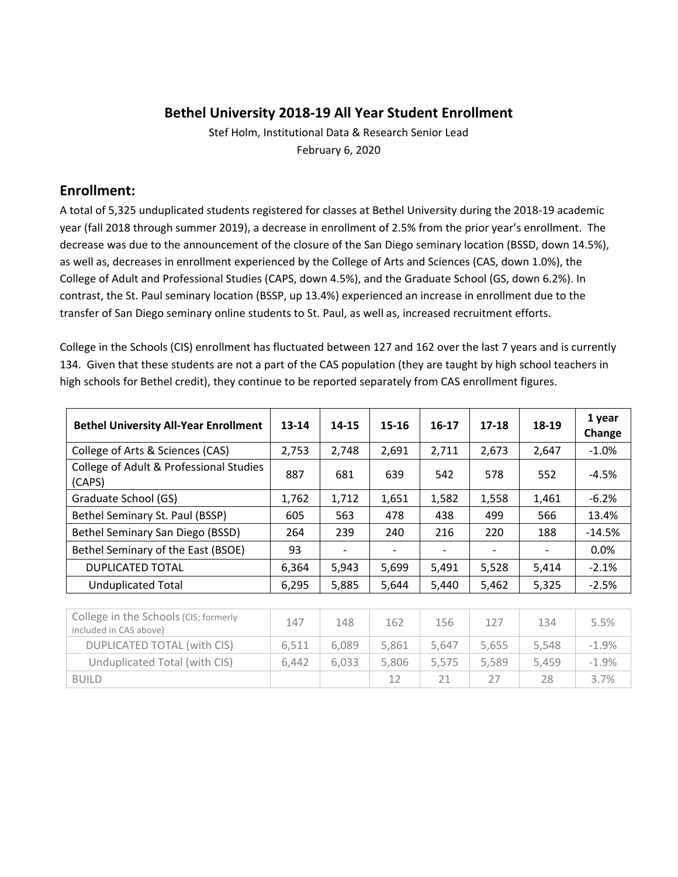### **Bethel University 2018‐19 All Year Student Enrollment**

Stef Holm, Institutional Data & Research Senior Lead February 6, 2020

#### **Enrollment:**

A total of 5,325 unduplicated students registered for classes at Bethel University during the 2018‐19 academic year (fall 2018 through summer 2019), a decrease in enrollment of 2.5% from the prior year's enrollment. The decrease was due to the announcement of the closure of the San Diego seminary location (BSSD, down 14.5%), as well as, decreases in enrollment experienced by the College of Arts and Sciences (CAS, down 1.0%), the College of Adult and Professional Studies (CAPS, down 4.5%), and the Graduate School (GS, down 6.2%). In contrast, the St. Paul seminary location (BSSP, up 13.4%) experienced an increase in enrollment due to the transfer of San Diego seminary online students to St. Paul, as well as, increased recruitment efforts.

College in the Schools (CIS) enrollment has fluctuated between 127 and 162 over the last 7 years and is currently 134. Given that these students are not a part of the CAS population (they are taught by high school teachers in high schools for Bethel credit), they continue to be reported separately from CAS enrollment figures.

| <b>Bethel University All-Year Enrollment</b>      | 13-14 | 14-15 | 15-16                    | 16-17 | 17-18                    | 18-19 | 1 year<br>Change |
|---------------------------------------------------|-------|-------|--------------------------|-------|--------------------------|-------|------------------|
| College of Arts & Sciences (CAS)                  | 2,753 | 2,748 | 2,691                    | 2,711 | 2,673                    | 2.647 | $-1.0%$          |
| College of Adult & Professional Studies<br>(CAPS) | 887   | 681   | 639                      | 542   | 578                      | 552   | $-4.5%$          |
| Graduate School (GS)                              | 1,762 | 1,712 | 1,651                    | 1,582 | 1,558                    | 1,461 | $-6.2%$          |
| Bethel Seminary St. Paul (BSSP)                   | 605   | 563   | 478                      | 438   | 499                      | 566   | 13.4%            |
| Bethel Seminary San Diego (BSSD)                  | 264   | 239   | 240                      | 216   | 220                      | 188   | $-14.5%$         |
| Bethel Seminary of the East (BSOE)                | 93    |       | $\overline{\phantom{a}}$ |       | $\overline{\phantom{a}}$ |       | 0.0%             |
| <b>DUPLICATED TOTAL</b>                           | 6,364 | 5,943 | 5.699                    | 5,491 | 5,528                    | 5.414 | $-2.1%$          |
| <b>Unduplicated Total</b>                         | 6,295 | 5,885 | 5,644                    | 5,440 | 5,462                    | 5,325 | $-2.5%$          |

| College in the Schools (CIS; formerly<br>included in CAS above) | 147   | 148   | 162   | 156   | 127   | 134   | 5.5%    |
|-----------------------------------------------------------------|-------|-------|-------|-------|-------|-------|---------|
| DUPLICATED TOTAL (with CIS)                                     | 6.511 | 6.089 | 5.861 | 5.647 | 5.655 | 5,548 | $-1.9%$ |
| Unduplicated Total (with CIS)                                   | 6.442 | 6.033 | 5.806 | 5.575 | 5.589 | 5.459 | $-1.9%$ |
| <b>BUILD</b>                                                    |       |       | 12    |       |       | 28    | 3.7%    |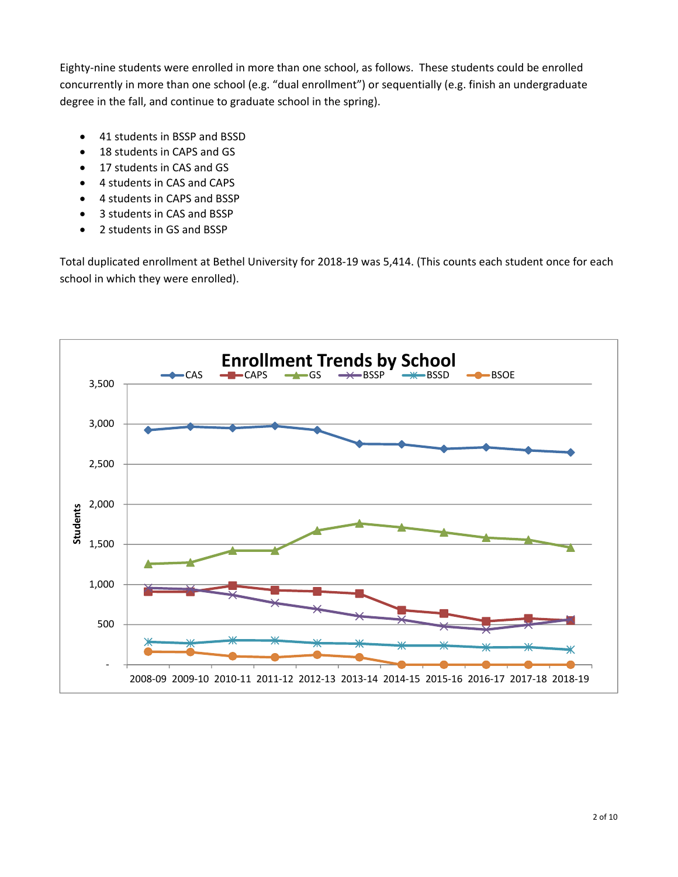Eighty-nine students were enrolled in more than one school, as follows. These students could be enrolled concurrently in more than one school (e.g. "dual enrollment") or sequentially (e.g. finish an undergraduate degree in the fall, and continue to graduate school in the spring).

- 41 students in BSSP and BSSD
- 18 students in CAPS and GS
- 17 students in CAS and GS
- 4 students in CAS and CAPS
- 4 students in CAPS and BSSP
- 3 students in CAS and BSSP
- 2 students in GS and BSSP

Total duplicated enrollment at Bethel University for 2018‐19 was 5,414. (This counts each student once for each school in which they were enrolled).

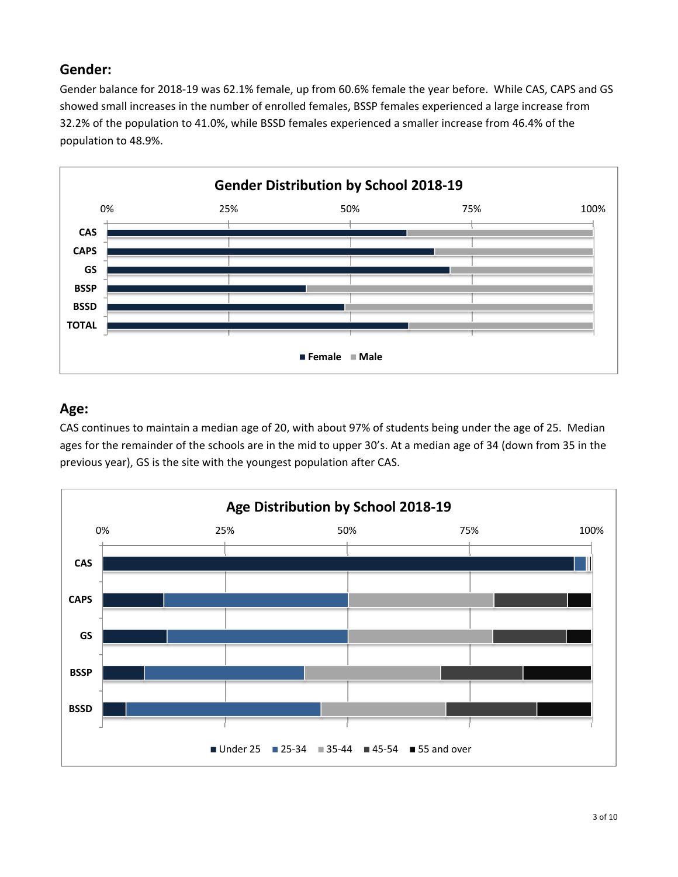# **Gender:**

Gender balance for 2018‐19 was 62.1% female, up from 60.6% female the year before. While CAS, CAPS and GS showed small increases in the number of enrolled females, BSSP females experienced a large increase from 32.2% of the population to 41.0%, while BSSD females experienced a smaller increase from 46.4% of the population to 48.9%.



# **Age:**

CAS continues to maintain a median age of 20, with about 97% of students being under the age of 25. Median ages for the remainder of the schools are in the mid to upper 30's. At a median age of 34 (down from 35 in the previous year), GS is the site with the youngest population after CAS.

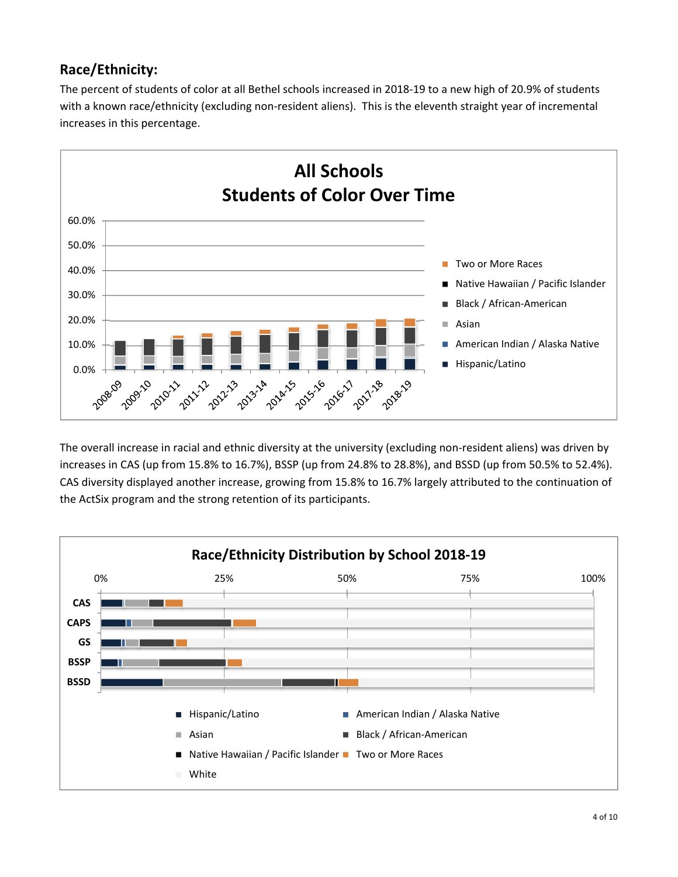# **Race/Ethnicity:**

The percent of students of color at all Bethel schools increased in 2018‐19 to a new high of 20.9% of students with a known race/ethnicity (excluding non-resident aliens). This is the eleventh straight year of incremental increases in this percentage.



The overall increase in racial and ethnic diversity at the university (excluding non-resident aliens) was driven by increases in CAS (up from 15.8% to 16.7%), BSSP (up from 24.8% to 28.8%), and BSSD (up from 50.5% to 52.4%). CAS diversity displayed another increase, growing from 15.8% to 16.7% largely attributed to the continuation of the ActSix program and the strong retention of its participants.

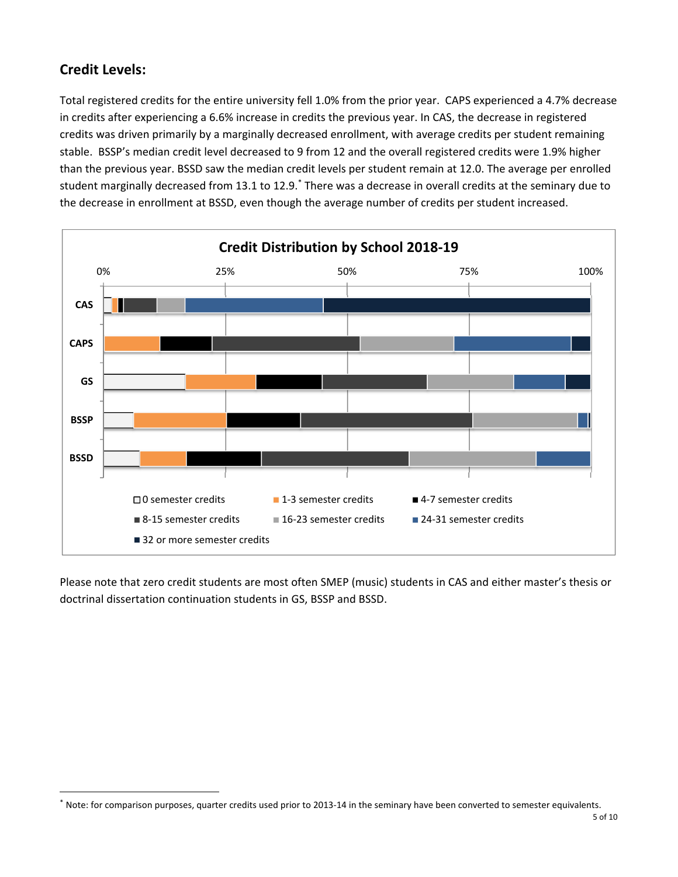# **Credit Levels:**

Total registered credits for the entire university fell 1.0% from the prior year. CAPS experienced a 4.7% decrease in credits after experiencing a 6.6% increase in credits the previous year. In CAS, the decrease in registered credits was driven primarily by a marginally decreased enrollment, with average credits per student remaining stable. BSSP's median credit level decreased to 9 from 12 and the overall registered credits were 1.9% higher than the previous year. BSSD saw the median credit levels per student remain at 12.0. The average per enrolled student marginally decreased from 13.1 to 12.9.<sup>\*</sup> There was a decrease in overall credits at the seminary due to the decrease in enrollment at BSSD, even though the average number of credits per student increased.



Please note that zero credit students are most often SMEP (music) students in CAS and either master's thesis or doctrinal dissertation continuation students in GS, BSSP and BSSD.

Note: for comparison purposes, quarter credits used prior to 2013-14 in the seminary have been converted to semester equivalents.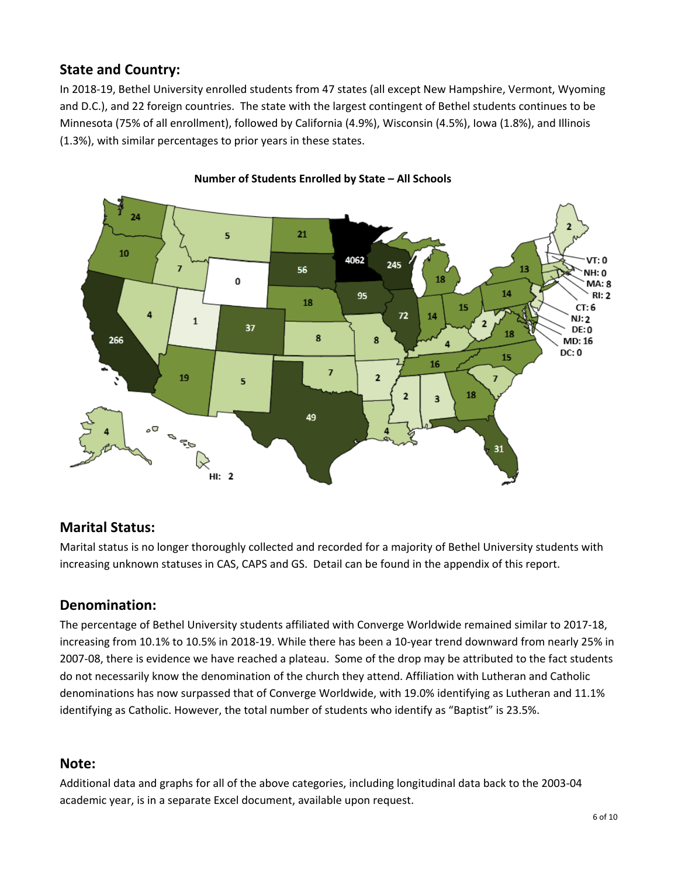# **State and Country:**

In 2018‐19, Bethel University enrolled students from 47 states (all except New Hampshire, Vermont, Wyoming and D.C.), and 22 foreign countries. The state with the largest contingent of Bethel students continues to be Minnesota (75% of all enrollment), followed by California (4.9%), Wisconsin (4.5%), Iowa (1.8%), and Illinois (1.3%), with similar percentages to prior years in these states.



#### **Number of Students Enrolled by State – All Schools**

### **Marital Status:**

Marital status is no longer thoroughly collected and recorded for a majority of Bethel University students with increasing unknown statuses in CAS, CAPS and GS. Detail can be found in the appendix of this report.

### **Denomination:**

The percentage of Bethel University students affiliated with Converge Worldwide remained similar to 2017‐18, increasing from 10.1% to 10.5% in 2018‐19. While there has been a 10‐year trend downward from nearly 25% in 2007‐08, there is evidence we have reached a plateau. Some of the drop may be attributed to the fact students do not necessarily know the denomination of the church they attend. Affiliation with Lutheran and Catholic denominations has now surpassed that of Converge Worldwide, with 19.0% identifying as Lutheran and 11.1% identifying as Catholic. However, the total number of students who identify as "Baptist" is 23.5%.

#### **Note:**

Additional data and graphs for all of the above categories, including longitudinal data back to the 2003‐04 academic year, is in a separate Excel document, available upon request.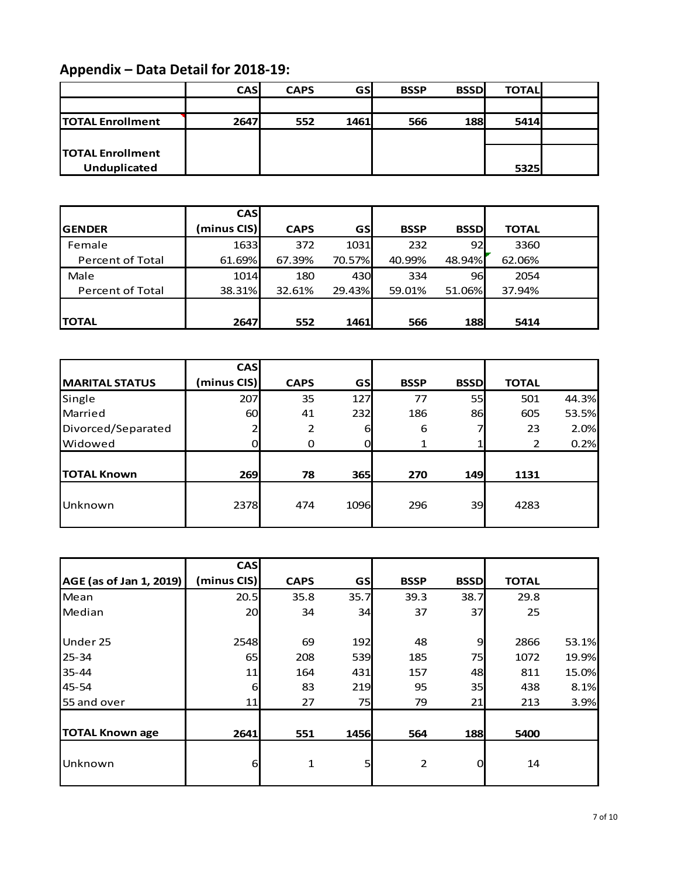# **Appendix – Data Detail for 2018‐19:**

|                         | <b>CASI</b> | <b>CAPS</b> | <b>GSI</b>  | <b>BSSP</b> | <b>BSSDI</b> | <b>TOTAL</b> |  |
|-------------------------|-------------|-------------|-------------|-------------|--------------|--------------|--|
|                         |             |             |             |             |              |              |  |
| <b>TOTAL Enrollment</b> | 2647        | 552         | <b>1461</b> | 566         | 188          | 5414         |  |
|                         |             |             |             |             |              |              |  |
| <b>TOTAL Enrollment</b> |             |             |             |             |              |              |  |
| Unduplicated            |             |             |             |             |              | 5325         |  |

|                  | <b>CASI</b> |             |            |             |             |              |  |
|------------------|-------------|-------------|------------|-------------|-------------|--------------|--|
| <b>IGENDER</b>   | (minus CIS) | <b>CAPS</b> | <b>GSI</b> | <b>BSSP</b> | <b>BSSD</b> | <b>TOTAL</b> |  |
| Female           | 1633        | 372         | 1031       | 232         | 92          | 3360         |  |
| Percent of Total | 61.69%      | 67.39%      | 70.57%     | 40.99%      | 48.94%      | 62.06%       |  |
| Male             | 1014        | 180         | 430        | 334         | 96          | 2054         |  |
| Percent of Total | 38.31%      | 32.61%      | 29.43%     | 59.01%      | 51.06%      | 37.94%       |  |
|                  |             |             |            |             |             |              |  |
| <b>TOTAL</b>     | 2647        | 552         | 1461       | 566         | <b>188</b>  | 5414         |  |

|                       | <b>CAS</b>  |                |            |             |                 |              |       |
|-----------------------|-------------|----------------|------------|-------------|-----------------|--------------|-------|
| <b>MARITAL STATUS</b> | (minus CIS) | <b>CAPS</b>    | <b>GSI</b> | <b>BSSP</b> | <b>BSSD</b>     | <b>TOTAL</b> |       |
| Single                | 207         | 35             | 127        | 77          | 55              | 501          | 44.3% |
| Married               | 60          | 41             | 232        | 186         | 86              | 605          | 53.5% |
| Divorced/Separated    | ∍           | $\overline{2}$ | 6          | 6           |                 | 23           | 2.0%  |
| <b>Widowed</b>        | 0           |                |            |             |                 | 2            | 0.2%  |
|                       |             |                |            |             |                 |              |       |
| <b>TOTAL Known</b>    | 269         | 78             | <b>365</b> | 270         | 149             | 1131         |       |
|                       |             |                |            |             |                 |              |       |
| Unknown               | 2378        | 474            | 1096       | 296         | 39 <sup>°</sup> | 4283         |       |
|                       |             |                |            |             |                 |              |       |

|                         | <b>CAS</b>  |             |           |                |             |              |       |
|-------------------------|-------------|-------------|-----------|----------------|-------------|--------------|-------|
| AGE (as of Jan 1, 2019) | (minus CIS) | <b>CAPS</b> | <b>GS</b> | <b>BSSP</b>    | <b>BSSD</b> | <b>TOTAL</b> |       |
| Mean                    | 20.5        | 35.8        | 35.7      | 39.3           | 38.7        | 29.8         |       |
| Median                  | 20          | 34          | 34        | 37             | 37          | 25           |       |
|                         |             |             |           |                |             |              |       |
| Under 25                | 2548        | 69          | 192       | 48             | 9           | 2866         | 53.1% |
| $25 - 34$               | 65          | 208         | 539       | 185            | 75          | 1072         | 19.9% |
| $35 - 44$               | 11          | 164         | 431       | 157            | 48          | 811          | 15.0% |
| 45-54                   | 6           | 83          | 219       | 95             | 35          | 438          | 8.1%  |
| 55 and over             | 11          | 27          | 75        | 79             | 21          | 213          | 3.9%  |
|                         |             |             |           |                |             |              |       |
| <b>TOTAL Known age</b>  | 2641        | 551         | 1456      | 564            | 188         | 5400         |       |
|                         |             |             |           |                |             |              |       |
| Unknown                 | 6           | 1           | 5         | $\overline{2}$ | $\Omega$    | 14           |       |
|                         |             |             |           |                |             |              |       |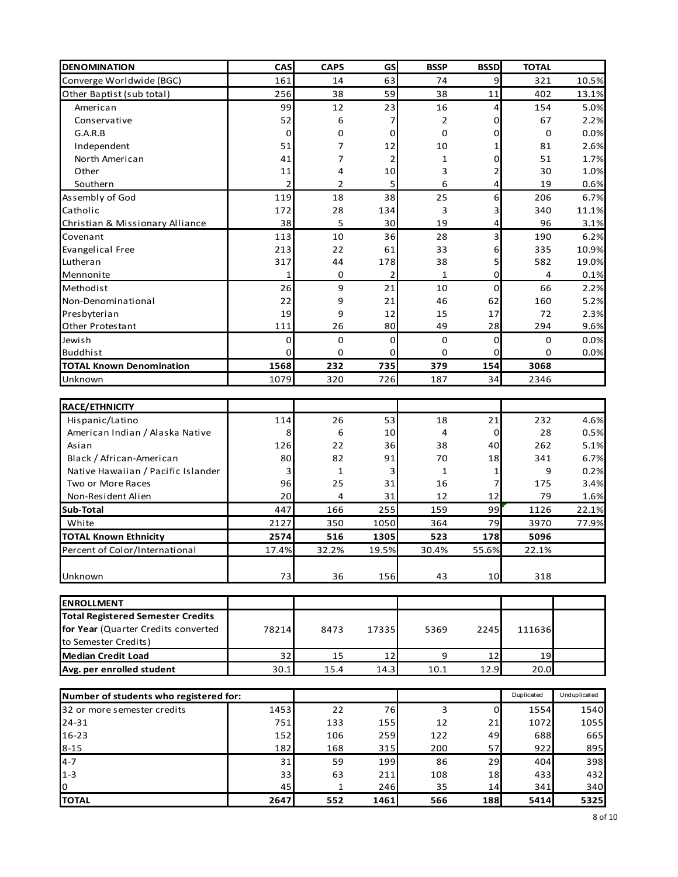| 161<br>14<br>63<br>9<br>321<br>10.5%<br>Converge Worldwide (BGC)<br>74<br>59<br>402<br>256<br>38<br>38<br>$11\,$<br>Other Baptist (sub total)<br>13.1%<br>99<br>12<br>23<br>16<br>154<br>American<br>4<br>52<br>0<br>67<br>Conservative<br>6<br>2<br>7<br>$\mathbf 0$<br>0<br>0<br>0<br>G.A.R.B<br>0<br>0<br>7<br>Independent<br>51<br>12<br>10<br>1<br>81<br>North American<br>41<br>7<br>0<br>51<br>2<br>1<br>Other<br>11<br>10<br>3<br>30<br>1.0%<br>4<br>2<br>$\overline{2}$<br>Southern<br>$\overline{2}$<br>5<br>6<br>4<br>19<br>0.6%<br>Assembly of God<br>119<br>18<br>38<br>25<br>6<br>206<br>6.7%<br>Catholic<br>172<br>28<br>134<br>340<br>11.1%<br>3<br>3<br>38<br>5<br>30<br>19<br>4<br>96<br>3.1%<br>Christian & Missionary Alliance<br>10<br>190<br>Covenant<br>113<br>36<br>28<br>3<br>6.2%<br>213<br>22<br>61<br>33<br>6<br>335<br>10.9%<br>Evangelical Free<br>317<br>44<br>38<br>5<br>582<br>19.0%<br>Lutheran<br>178<br>0<br>$\overline{2}$<br>1<br>1<br>0<br>4<br>0.1%<br>Mennonite<br>26<br>9<br>21<br>10<br>0<br>Methodist<br>66<br>2.2%<br>22<br>9<br>21<br>46<br>160<br>5.2%<br>Non-Denominational<br>62<br>19<br>9<br>12<br>15<br>72<br>2.3%<br>Presbyterian<br>17<br>49<br>294<br>9.6%<br>Other Protestant<br>111<br>26<br>80<br>28<br>0<br>0.0%<br>Jewish<br>0<br>0<br>0<br>0<br>0<br><b>Buddhist</b><br>$\mathbf 0$<br>0<br>0.0%<br>0<br>0<br>0<br>0<br>1568<br>232<br>735<br>379<br>154<br>3068<br><b>TOTAL Known Denomination</b><br>1079<br>320<br>726<br>34<br>Unknown<br>187<br>2346<br><b>RACE/ETHNICITY</b><br>53<br>232<br>4.6%<br>Hispanic/Latino<br>114<br>26<br>18<br>21<br>8<br>6<br>4<br>28<br>American Indian / Alaska Native<br>10<br>0<br>Asian<br>126<br>22<br>40<br>262<br>36<br>38<br>82<br>Black / African-American<br>80<br>91<br>70<br>341<br>18<br>$\mathbf{1}$<br>Native Hawaiian / Pacific Islander<br>з<br>$\mathbf{1}$<br>9<br>3<br>1<br>96<br>25<br>Two or More Races<br>16<br>175<br>31<br>7<br>20<br>12<br>Non-Resident Alien<br>4<br>31<br>79<br>12<br>447<br>166<br>255<br>159<br>99<br>1126<br>Sub-Total<br>2127<br>350<br>1050<br>364<br>79<br>3970<br>White<br>2574<br>516<br>523<br>178<br><b>TOTAL Known Ethnicity</b><br>1305<br>5096<br>17.4%<br>19.5%<br>30.4%<br>55.6%<br>32.2%<br>22.1%<br>73<br>Unknown<br>36<br>156<br>43<br>10<br>318<br><b>ENROLLMENT</b><br><b>Total Registered Semester Credits</b><br>for Year (Quarter Credits converted<br>17335<br>5369<br>78214<br>8473<br>2245<br>111636<br>to Semester Credits)<br><b>Median Credit Load</b><br>32<br>15<br>12<br>9<br>19<br>12<br>Avg. per enrolled student<br>30.1<br>15.4<br>14.3<br>10.1<br>12.9<br>20.0<br>Duplicated<br>Unduplicated<br>Number of students who registered for:<br>32 or more semester credits<br>1453<br>22<br>76<br>3<br>1540<br>0<br>1554<br>$24 - 31$<br>751<br>12<br>1055<br>133<br>155<br>1072<br>21<br>16-23<br>106<br>122<br>688<br>665<br>152<br>259<br>49<br>57<br>922<br>182<br>168<br>315<br>200<br>895<br>$4 - 7$<br>59<br>86<br>404<br>398<br>31<br>199<br>29<br>33<br>432<br>$1 - 3$<br>63<br>211<br>108<br>18<br>433<br>35<br>0<br>45<br>246<br>14<br>341<br>$\mathbf{1}$<br>2647<br>1461<br>5414<br>552<br>566<br>188<br>5325 | <b>DENOMINATION</b>            | CAS | <b>CAPS</b> | GS | <b>BSSP</b> | <b>BSSD</b> | <b>TOTAL</b> |       |
|---------------------------------------------------------------------------------------------------------------------------------------------------------------------------------------------------------------------------------------------------------------------------------------------------------------------------------------------------------------------------------------------------------------------------------------------------------------------------------------------------------------------------------------------------------------------------------------------------------------------------------------------------------------------------------------------------------------------------------------------------------------------------------------------------------------------------------------------------------------------------------------------------------------------------------------------------------------------------------------------------------------------------------------------------------------------------------------------------------------------------------------------------------------------------------------------------------------------------------------------------------------------------------------------------------------------------------------------------------------------------------------------------------------------------------------------------------------------------------------------------------------------------------------------------------------------------------------------------------------------------------------------------------------------------------------------------------------------------------------------------------------------------------------------------------------------------------------------------------------------------------------------------------------------------------------------------------------------------------------------------------------------------------------------------------------------------------------------------------------------------------------------------------------------------------------------------------------------------------------------------------------------------------------------------------------------------------------------------------------------------------------------------------------------------------------------------------------------------------------------------------------------------------------------------------------------------------------------------------------------------------------------------------------------------------------------------------------------------------------------------------------------------------------------------------------------------------------------------------------------------------------------------------------------------------------------------------------------------------------------------------------------------------------------------------------------------------------------------------------------------------------------------------------------------------------------------------|--------------------------------|-----|-------------|----|-------------|-------------|--------------|-------|
|                                                                                                                                                                                                                                                                                                                                                                                                                                                                                                                                                                                                                                                                                                                                                                                                                                                                                                                                                                                                                                                                                                                                                                                                                                                                                                                                                                                                                                                                                                                                                                                                                                                                                                                                                                                                                                                                                                                                                                                                                                                                                                                                                                                                                                                                                                                                                                                                                                                                                                                                                                                                                                                                                                                                                                                                                                                                                                                                                                                                                                                                                                                                                                                                         |                                |     |             |    |             |             |              |       |
|                                                                                                                                                                                                                                                                                                                                                                                                                                                                                                                                                                                                                                                                                                                                                                                                                                                                                                                                                                                                                                                                                                                                                                                                                                                                                                                                                                                                                                                                                                                                                                                                                                                                                                                                                                                                                                                                                                                                                                                                                                                                                                                                                                                                                                                                                                                                                                                                                                                                                                                                                                                                                                                                                                                                                                                                                                                                                                                                                                                                                                                                                                                                                                                                         |                                |     |             |    |             |             |              |       |
|                                                                                                                                                                                                                                                                                                                                                                                                                                                                                                                                                                                                                                                                                                                                                                                                                                                                                                                                                                                                                                                                                                                                                                                                                                                                                                                                                                                                                                                                                                                                                                                                                                                                                                                                                                                                                                                                                                                                                                                                                                                                                                                                                                                                                                                                                                                                                                                                                                                                                                                                                                                                                                                                                                                                                                                                                                                                                                                                                                                                                                                                                                                                                                                                         |                                |     |             |    |             |             |              | 5.0%  |
|                                                                                                                                                                                                                                                                                                                                                                                                                                                                                                                                                                                                                                                                                                                                                                                                                                                                                                                                                                                                                                                                                                                                                                                                                                                                                                                                                                                                                                                                                                                                                                                                                                                                                                                                                                                                                                                                                                                                                                                                                                                                                                                                                                                                                                                                                                                                                                                                                                                                                                                                                                                                                                                                                                                                                                                                                                                                                                                                                                                                                                                                                                                                                                                                         |                                |     |             |    |             |             |              | 2.2%  |
|                                                                                                                                                                                                                                                                                                                                                                                                                                                                                                                                                                                                                                                                                                                                                                                                                                                                                                                                                                                                                                                                                                                                                                                                                                                                                                                                                                                                                                                                                                                                                                                                                                                                                                                                                                                                                                                                                                                                                                                                                                                                                                                                                                                                                                                                                                                                                                                                                                                                                                                                                                                                                                                                                                                                                                                                                                                                                                                                                                                                                                                                                                                                                                                                         |                                |     |             |    |             |             |              | 0.0%  |
|                                                                                                                                                                                                                                                                                                                                                                                                                                                                                                                                                                                                                                                                                                                                                                                                                                                                                                                                                                                                                                                                                                                                                                                                                                                                                                                                                                                                                                                                                                                                                                                                                                                                                                                                                                                                                                                                                                                                                                                                                                                                                                                                                                                                                                                                                                                                                                                                                                                                                                                                                                                                                                                                                                                                                                                                                                                                                                                                                                                                                                                                                                                                                                                                         |                                |     |             |    |             |             |              | 2.6%  |
|                                                                                                                                                                                                                                                                                                                                                                                                                                                                                                                                                                                                                                                                                                                                                                                                                                                                                                                                                                                                                                                                                                                                                                                                                                                                                                                                                                                                                                                                                                                                                                                                                                                                                                                                                                                                                                                                                                                                                                                                                                                                                                                                                                                                                                                                                                                                                                                                                                                                                                                                                                                                                                                                                                                                                                                                                                                                                                                                                                                                                                                                                                                                                                                                         |                                |     |             |    |             |             |              | 1.7%  |
|                                                                                                                                                                                                                                                                                                                                                                                                                                                                                                                                                                                                                                                                                                                                                                                                                                                                                                                                                                                                                                                                                                                                                                                                                                                                                                                                                                                                                                                                                                                                                                                                                                                                                                                                                                                                                                                                                                                                                                                                                                                                                                                                                                                                                                                                                                                                                                                                                                                                                                                                                                                                                                                                                                                                                                                                                                                                                                                                                                                                                                                                                                                                                                                                         |                                |     |             |    |             |             |              |       |
|                                                                                                                                                                                                                                                                                                                                                                                                                                                                                                                                                                                                                                                                                                                                                                                                                                                                                                                                                                                                                                                                                                                                                                                                                                                                                                                                                                                                                                                                                                                                                                                                                                                                                                                                                                                                                                                                                                                                                                                                                                                                                                                                                                                                                                                                                                                                                                                                                                                                                                                                                                                                                                                                                                                                                                                                                                                                                                                                                                                                                                                                                                                                                                                                         |                                |     |             |    |             |             |              |       |
|                                                                                                                                                                                                                                                                                                                                                                                                                                                                                                                                                                                                                                                                                                                                                                                                                                                                                                                                                                                                                                                                                                                                                                                                                                                                                                                                                                                                                                                                                                                                                                                                                                                                                                                                                                                                                                                                                                                                                                                                                                                                                                                                                                                                                                                                                                                                                                                                                                                                                                                                                                                                                                                                                                                                                                                                                                                                                                                                                                                                                                                                                                                                                                                                         |                                |     |             |    |             |             |              |       |
|                                                                                                                                                                                                                                                                                                                                                                                                                                                                                                                                                                                                                                                                                                                                                                                                                                                                                                                                                                                                                                                                                                                                                                                                                                                                                                                                                                                                                                                                                                                                                                                                                                                                                                                                                                                                                                                                                                                                                                                                                                                                                                                                                                                                                                                                                                                                                                                                                                                                                                                                                                                                                                                                                                                                                                                                                                                                                                                                                                                                                                                                                                                                                                                                         |                                |     |             |    |             |             |              |       |
|                                                                                                                                                                                                                                                                                                                                                                                                                                                                                                                                                                                                                                                                                                                                                                                                                                                                                                                                                                                                                                                                                                                                                                                                                                                                                                                                                                                                                                                                                                                                                                                                                                                                                                                                                                                                                                                                                                                                                                                                                                                                                                                                                                                                                                                                                                                                                                                                                                                                                                                                                                                                                                                                                                                                                                                                                                                                                                                                                                                                                                                                                                                                                                                                         |                                |     |             |    |             |             |              |       |
|                                                                                                                                                                                                                                                                                                                                                                                                                                                                                                                                                                                                                                                                                                                                                                                                                                                                                                                                                                                                                                                                                                                                                                                                                                                                                                                                                                                                                                                                                                                                                                                                                                                                                                                                                                                                                                                                                                                                                                                                                                                                                                                                                                                                                                                                                                                                                                                                                                                                                                                                                                                                                                                                                                                                                                                                                                                                                                                                                                                                                                                                                                                                                                                                         |                                |     |             |    |             |             |              |       |
|                                                                                                                                                                                                                                                                                                                                                                                                                                                                                                                                                                                                                                                                                                                                                                                                                                                                                                                                                                                                                                                                                                                                                                                                                                                                                                                                                                                                                                                                                                                                                                                                                                                                                                                                                                                                                                                                                                                                                                                                                                                                                                                                                                                                                                                                                                                                                                                                                                                                                                                                                                                                                                                                                                                                                                                                                                                                                                                                                                                                                                                                                                                                                                                                         |                                |     |             |    |             |             |              |       |
|                                                                                                                                                                                                                                                                                                                                                                                                                                                                                                                                                                                                                                                                                                                                                                                                                                                                                                                                                                                                                                                                                                                                                                                                                                                                                                                                                                                                                                                                                                                                                                                                                                                                                                                                                                                                                                                                                                                                                                                                                                                                                                                                                                                                                                                                                                                                                                                                                                                                                                                                                                                                                                                                                                                                                                                                                                                                                                                                                                                                                                                                                                                                                                                                         |                                |     |             |    |             |             |              |       |
|                                                                                                                                                                                                                                                                                                                                                                                                                                                                                                                                                                                                                                                                                                                                                                                                                                                                                                                                                                                                                                                                                                                                                                                                                                                                                                                                                                                                                                                                                                                                                                                                                                                                                                                                                                                                                                                                                                                                                                                                                                                                                                                                                                                                                                                                                                                                                                                                                                                                                                                                                                                                                                                                                                                                                                                                                                                                                                                                                                                                                                                                                                                                                                                                         |                                |     |             |    |             |             |              |       |
|                                                                                                                                                                                                                                                                                                                                                                                                                                                                                                                                                                                                                                                                                                                                                                                                                                                                                                                                                                                                                                                                                                                                                                                                                                                                                                                                                                                                                                                                                                                                                                                                                                                                                                                                                                                                                                                                                                                                                                                                                                                                                                                                                                                                                                                                                                                                                                                                                                                                                                                                                                                                                                                                                                                                                                                                                                                                                                                                                                                                                                                                                                                                                                                                         |                                |     |             |    |             |             |              |       |
|                                                                                                                                                                                                                                                                                                                                                                                                                                                                                                                                                                                                                                                                                                                                                                                                                                                                                                                                                                                                                                                                                                                                                                                                                                                                                                                                                                                                                                                                                                                                                                                                                                                                                                                                                                                                                                                                                                                                                                                                                                                                                                                                                                                                                                                                                                                                                                                                                                                                                                                                                                                                                                                                                                                                                                                                                                                                                                                                                                                                                                                                                                                                                                                                         |                                |     |             |    |             |             |              |       |
|                                                                                                                                                                                                                                                                                                                                                                                                                                                                                                                                                                                                                                                                                                                                                                                                                                                                                                                                                                                                                                                                                                                                                                                                                                                                                                                                                                                                                                                                                                                                                                                                                                                                                                                                                                                                                                                                                                                                                                                                                                                                                                                                                                                                                                                                                                                                                                                                                                                                                                                                                                                                                                                                                                                                                                                                                                                                                                                                                                                                                                                                                                                                                                                                         |                                |     |             |    |             |             |              |       |
|                                                                                                                                                                                                                                                                                                                                                                                                                                                                                                                                                                                                                                                                                                                                                                                                                                                                                                                                                                                                                                                                                                                                                                                                                                                                                                                                                                                                                                                                                                                                                                                                                                                                                                                                                                                                                                                                                                                                                                                                                                                                                                                                                                                                                                                                                                                                                                                                                                                                                                                                                                                                                                                                                                                                                                                                                                                                                                                                                                                                                                                                                                                                                                                                         |                                |     |             |    |             |             |              |       |
|                                                                                                                                                                                                                                                                                                                                                                                                                                                                                                                                                                                                                                                                                                                                                                                                                                                                                                                                                                                                                                                                                                                                                                                                                                                                                                                                                                                                                                                                                                                                                                                                                                                                                                                                                                                                                                                                                                                                                                                                                                                                                                                                                                                                                                                                                                                                                                                                                                                                                                                                                                                                                                                                                                                                                                                                                                                                                                                                                                                                                                                                                                                                                                                                         |                                |     |             |    |             |             |              |       |
|                                                                                                                                                                                                                                                                                                                                                                                                                                                                                                                                                                                                                                                                                                                                                                                                                                                                                                                                                                                                                                                                                                                                                                                                                                                                                                                                                                                                                                                                                                                                                                                                                                                                                                                                                                                                                                                                                                                                                                                                                                                                                                                                                                                                                                                                                                                                                                                                                                                                                                                                                                                                                                                                                                                                                                                                                                                                                                                                                                                                                                                                                                                                                                                                         |                                |     |             |    |             |             |              |       |
|                                                                                                                                                                                                                                                                                                                                                                                                                                                                                                                                                                                                                                                                                                                                                                                                                                                                                                                                                                                                                                                                                                                                                                                                                                                                                                                                                                                                                                                                                                                                                                                                                                                                                                                                                                                                                                                                                                                                                                                                                                                                                                                                                                                                                                                                                                                                                                                                                                                                                                                                                                                                                                                                                                                                                                                                                                                                                                                                                                                                                                                                                                                                                                                                         |                                |     |             |    |             |             |              |       |
|                                                                                                                                                                                                                                                                                                                                                                                                                                                                                                                                                                                                                                                                                                                                                                                                                                                                                                                                                                                                                                                                                                                                                                                                                                                                                                                                                                                                                                                                                                                                                                                                                                                                                                                                                                                                                                                                                                                                                                                                                                                                                                                                                                                                                                                                                                                                                                                                                                                                                                                                                                                                                                                                                                                                                                                                                                                                                                                                                                                                                                                                                                                                                                                                         |                                |     |             |    |             |             |              |       |
|                                                                                                                                                                                                                                                                                                                                                                                                                                                                                                                                                                                                                                                                                                                                                                                                                                                                                                                                                                                                                                                                                                                                                                                                                                                                                                                                                                                                                                                                                                                                                                                                                                                                                                                                                                                                                                                                                                                                                                                                                                                                                                                                                                                                                                                                                                                                                                                                                                                                                                                                                                                                                                                                                                                                                                                                                                                                                                                                                                                                                                                                                                                                                                                                         |                                |     |             |    |             |             |              |       |
|                                                                                                                                                                                                                                                                                                                                                                                                                                                                                                                                                                                                                                                                                                                                                                                                                                                                                                                                                                                                                                                                                                                                                                                                                                                                                                                                                                                                                                                                                                                                                                                                                                                                                                                                                                                                                                                                                                                                                                                                                                                                                                                                                                                                                                                                                                                                                                                                                                                                                                                                                                                                                                                                                                                                                                                                                                                                                                                                                                                                                                                                                                                                                                                                         |                                |     |             |    |             |             |              |       |
|                                                                                                                                                                                                                                                                                                                                                                                                                                                                                                                                                                                                                                                                                                                                                                                                                                                                                                                                                                                                                                                                                                                                                                                                                                                                                                                                                                                                                                                                                                                                                                                                                                                                                                                                                                                                                                                                                                                                                                                                                                                                                                                                                                                                                                                                                                                                                                                                                                                                                                                                                                                                                                                                                                                                                                                                                                                                                                                                                                                                                                                                                                                                                                                                         |                                |     |             |    |             |             |              | 0.5%  |
|                                                                                                                                                                                                                                                                                                                                                                                                                                                                                                                                                                                                                                                                                                                                                                                                                                                                                                                                                                                                                                                                                                                                                                                                                                                                                                                                                                                                                                                                                                                                                                                                                                                                                                                                                                                                                                                                                                                                                                                                                                                                                                                                                                                                                                                                                                                                                                                                                                                                                                                                                                                                                                                                                                                                                                                                                                                                                                                                                                                                                                                                                                                                                                                                         |                                |     |             |    |             |             |              | 5.1%  |
|                                                                                                                                                                                                                                                                                                                                                                                                                                                                                                                                                                                                                                                                                                                                                                                                                                                                                                                                                                                                                                                                                                                                                                                                                                                                                                                                                                                                                                                                                                                                                                                                                                                                                                                                                                                                                                                                                                                                                                                                                                                                                                                                                                                                                                                                                                                                                                                                                                                                                                                                                                                                                                                                                                                                                                                                                                                                                                                                                                                                                                                                                                                                                                                                         |                                |     |             |    |             |             |              | 6.7%  |
|                                                                                                                                                                                                                                                                                                                                                                                                                                                                                                                                                                                                                                                                                                                                                                                                                                                                                                                                                                                                                                                                                                                                                                                                                                                                                                                                                                                                                                                                                                                                                                                                                                                                                                                                                                                                                                                                                                                                                                                                                                                                                                                                                                                                                                                                                                                                                                                                                                                                                                                                                                                                                                                                                                                                                                                                                                                                                                                                                                                                                                                                                                                                                                                                         |                                |     |             |    |             |             |              | 0.2%  |
|                                                                                                                                                                                                                                                                                                                                                                                                                                                                                                                                                                                                                                                                                                                                                                                                                                                                                                                                                                                                                                                                                                                                                                                                                                                                                                                                                                                                                                                                                                                                                                                                                                                                                                                                                                                                                                                                                                                                                                                                                                                                                                                                                                                                                                                                                                                                                                                                                                                                                                                                                                                                                                                                                                                                                                                                                                                                                                                                                                                                                                                                                                                                                                                                         |                                |     |             |    |             |             |              | 3.4%  |
|                                                                                                                                                                                                                                                                                                                                                                                                                                                                                                                                                                                                                                                                                                                                                                                                                                                                                                                                                                                                                                                                                                                                                                                                                                                                                                                                                                                                                                                                                                                                                                                                                                                                                                                                                                                                                                                                                                                                                                                                                                                                                                                                                                                                                                                                                                                                                                                                                                                                                                                                                                                                                                                                                                                                                                                                                                                                                                                                                                                                                                                                                                                                                                                                         |                                |     |             |    |             |             |              | 1.6%  |
|                                                                                                                                                                                                                                                                                                                                                                                                                                                                                                                                                                                                                                                                                                                                                                                                                                                                                                                                                                                                                                                                                                                                                                                                                                                                                                                                                                                                                                                                                                                                                                                                                                                                                                                                                                                                                                                                                                                                                                                                                                                                                                                                                                                                                                                                                                                                                                                                                                                                                                                                                                                                                                                                                                                                                                                                                                                                                                                                                                                                                                                                                                                                                                                                         |                                |     |             |    |             |             |              | 22.1% |
|                                                                                                                                                                                                                                                                                                                                                                                                                                                                                                                                                                                                                                                                                                                                                                                                                                                                                                                                                                                                                                                                                                                                                                                                                                                                                                                                                                                                                                                                                                                                                                                                                                                                                                                                                                                                                                                                                                                                                                                                                                                                                                                                                                                                                                                                                                                                                                                                                                                                                                                                                                                                                                                                                                                                                                                                                                                                                                                                                                                                                                                                                                                                                                                                         |                                |     |             |    |             |             |              | 77.9% |
|                                                                                                                                                                                                                                                                                                                                                                                                                                                                                                                                                                                                                                                                                                                                                                                                                                                                                                                                                                                                                                                                                                                                                                                                                                                                                                                                                                                                                                                                                                                                                                                                                                                                                                                                                                                                                                                                                                                                                                                                                                                                                                                                                                                                                                                                                                                                                                                                                                                                                                                                                                                                                                                                                                                                                                                                                                                                                                                                                                                                                                                                                                                                                                                                         |                                |     |             |    |             |             |              |       |
|                                                                                                                                                                                                                                                                                                                                                                                                                                                                                                                                                                                                                                                                                                                                                                                                                                                                                                                                                                                                                                                                                                                                                                                                                                                                                                                                                                                                                                                                                                                                                                                                                                                                                                                                                                                                                                                                                                                                                                                                                                                                                                                                                                                                                                                                                                                                                                                                                                                                                                                                                                                                                                                                                                                                                                                                                                                                                                                                                                                                                                                                                                                                                                                                         | Percent of Color/International |     |             |    |             |             |              |       |
|                                                                                                                                                                                                                                                                                                                                                                                                                                                                                                                                                                                                                                                                                                                                                                                                                                                                                                                                                                                                                                                                                                                                                                                                                                                                                                                                                                                                                                                                                                                                                                                                                                                                                                                                                                                                                                                                                                                                                                                                                                                                                                                                                                                                                                                                                                                                                                                                                                                                                                                                                                                                                                                                                                                                                                                                                                                                                                                                                                                                                                                                                                                                                                                                         |                                |     |             |    |             |             |              |       |
|                                                                                                                                                                                                                                                                                                                                                                                                                                                                                                                                                                                                                                                                                                                                                                                                                                                                                                                                                                                                                                                                                                                                                                                                                                                                                                                                                                                                                                                                                                                                                                                                                                                                                                                                                                                                                                                                                                                                                                                                                                                                                                                                                                                                                                                                                                                                                                                                                                                                                                                                                                                                                                                                                                                                                                                                                                                                                                                                                                                                                                                                                                                                                                                                         |                                |     |             |    |             |             |              |       |
|                                                                                                                                                                                                                                                                                                                                                                                                                                                                                                                                                                                                                                                                                                                                                                                                                                                                                                                                                                                                                                                                                                                                                                                                                                                                                                                                                                                                                                                                                                                                                                                                                                                                                                                                                                                                                                                                                                                                                                                                                                                                                                                                                                                                                                                                                                                                                                                                                                                                                                                                                                                                                                                                                                                                                                                                                                                                                                                                                                                                                                                                                                                                                                                                         |                                |     |             |    |             |             |              |       |
|                                                                                                                                                                                                                                                                                                                                                                                                                                                                                                                                                                                                                                                                                                                                                                                                                                                                                                                                                                                                                                                                                                                                                                                                                                                                                                                                                                                                                                                                                                                                                                                                                                                                                                                                                                                                                                                                                                                                                                                                                                                                                                                                                                                                                                                                                                                                                                                                                                                                                                                                                                                                                                                                                                                                                                                                                                                                                                                                                                                                                                                                                                                                                                                                         |                                |     |             |    |             |             |              |       |
|                                                                                                                                                                                                                                                                                                                                                                                                                                                                                                                                                                                                                                                                                                                                                                                                                                                                                                                                                                                                                                                                                                                                                                                                                                                                                                                                                                                                                                                                                                                                                                                                                                                                                                                                                                                                                                                                                                                                                                                                                                                                                                                                                                                                                                                                                                                                                                                                                                                                                                                                                                                                                                                                                                                                                                                                                                                                                                                                                                                                                                                                                                                                                                                                         |                                |     |             |    |             |             |              |       |
|                                                                                                                                                                                                                                                                                                                                                                                                                                                                                                                                                                                                                                                                                                                                                                                                                                                                                                                                                                                                                                                                                                                                                                                                                                                                                                                                                                                                                                                                                                                                                                                                                                                                                                                                                                                                                                                                                                                                                                                                                                                                                                                                                                                                                                                                                                                                                                                                                                                                                                                                                                                                                                                                                                                                                                                                                                                                                                                                                                                                                                                                                                                                                                                                         |                                |     |             |    |             |             |              |       |
|                                                                                                                                                                                                                                                                                                                                                                                                                                                                                                                                                                                                                                                                                                                                                                                                                                                                                                                                                                                                                                                                                                                                                                                                                                                                                                                                                                                                                                                                                                                                                                                                                                                                                                                                                                                                                                                                                                                                                                                                                                                                                                                                                                                                                                                                                                                                                                                                                                                                                                                                                                                                                                                                                                                                                                                                                                                                                                                                                                                                                                                                                                                                                                                                         |                                |     |             |    |             |             |              |       |
|                                                                                                                                                                                                                                                                                                                                                                                                                                                                                                                                                                                                                                                                                                                                                                                                                                                                                                                                                                                                                                                                                                                                                                                                                                                                                                                                                                                                                                                                                                                                                                                                                                                                                                                                                                                                                                                                                                                                                                                                                                                                                                                                                                                                                                                                                                                                                                                                                                                                                                                                                                                                                                                                                                                                                                                                                                                                                                                                                                                                                                                                                                                                                                                                         |                                |     |             |    |             |             |              |       |
|                                                                                                                                                                                                                                                                                                                                                                                                                                                                                                                                                                                                                                                                                                                                                                                                                                                                                                                                                                                                                                                                                                                                                                                                                                                                                                                                                                                                                                                                                                                                                                                                                                                                                                                                                                                                                                                                                                                                                                                                                                                                                                                                                                                                                                                                                                                                                                                                                                                                                                                                                                                                                                                                                                                                                                                                                                                                                                                                                                                                                                                                                                                                                                                                         |                                |     |             |    |             |             |              |       |
|                                                                                                                                                                                                                                                                                                                                                                                                                                                                                                                                                                                                                                                                                                                                                                                                                                                                                                                                                                                                                                                                                                                                                                                                                                                                                                                                                                                                                                                                                                                                                                                                                                                                                                                                                                                                                                                                                                                                                                                                                                                                                                                                                                                                                                                                                                                                                                                                                                                                                                                                                                                                                                                                                                                                                                                                                                                                                                                                                                                                                                                                                                                                                                                                         |                                |     |             |    |             |             |              |       |
|                                                                                                                                                                                                                                                                                                                                                                                                                                                                                                                                                                                                                                                                                                                                                                                                                                                                                                                                                                                                                                                                                                                                                                                                                                                                                                                                                                                                                                                                                                                                                                                                                                                                                                                                                                                                                                                                                                                                                                                                                                                                                                                                                                                                                                                                                                                                                                                                                                                                                                                                                                                                                                                                                                                                                                                                                                                                                                                                                                                                                                                                                                                                                                                                         |                                |     |             |    |             |             |              |       |
|                                                                                                                                                                                                                                                                                                                                                                                                                                                                                                                                                                                                                                                                                                                                                                                                                                                                                                                                                                                                                                                                                                                                                                                                                                                                                                                                                                                                                                                                                                                                                                                                                                                                                                                                                                                                                                                                                                                                                                                                                                                                                                                                                                                                                                                                                                                                                                                                                                                                                                                                                                                                                                                                                                                                                                                                                                                                                                                                                                                                                                                                                                                                                                                                         |                                |     |             |    |             |             |              |       |
|                                                                                                                                                                                                                                                                                                                                                                                                                                                                                                                                                                                                                                                                                                                                                                                                                                                                                                                                                                                                                                                                                                                                                                                                                                                                                                                                                                                                                                                                                                                                                                                                                                                                                                                                                                                                                                                                                                                                                                                                                                                                                                                                                                                                                                                                                                                                                                                                                                                                                                                                                                                                                                                                                                                                                                                                                                                                                                                                                                                                                                                                                                                                                                                                         |                                |     |             |    |             |             |              |       |
|                                                                                                                                                                                                                                                                                                                                                                                                                                                                                                                                                                                                                                                                                                                                                                                                                                                                                                                                                                                                                                                                                                                                                                                                                                                                                                                                                                                                                                                                                                                                                                                                                                                                                                                                                                                                                                                                                                                                                                                                                                                                                                                                                                                                                                                                                                                                                                                                                                                                                                                                                                                                                                                                                                                                                                                                                                                                                                                                                                                                                                                                                                                                                                                                         | $8 - 15$                       |     |             |    |             |             |              |       |
|                                                                                                                                                                                                                                                                                                                                                                                                                                                                                                                                                                                                                                                                                                                                                                                                                                                                                                                                                                                                                                                                                                                                                                                                                                                                                                                                                                                                                                                                                                                                                                                                                                                                                                                                                                                                                                                                                                                                                                                                                                                                                                                                                                                                                                                                                                                                                                                                                                                                                                                                                                                                                                                                                                                                                                                                                                                                                                                                                                                                                                                                                                                                                                                                         |                                |     |             |    |             |             |              |       |
|                                                                                                                                                                                                                                                                                                                                                                                                                                                                                                                                                                                                                                                                                                                                                                                                                                                                                                                                                                                                                                                                                                                                                                                                                                                                                                                                                                                                                                                                                                                                                                                                                                                                                                                                                                                                                                                                                                                                                                                                                                                                                                                                                                                                                                                                                                                                                                                                                                                                                                                                                                                                                                                                                                                                                                                                                                                                                                                                                                                                                                                                                                                                                                                                         |                                |     |             |    |             |             |              |       |
|                                                                                                                                                                                                                                                                                                                                                                                                                                                                                                                                                                                                                                                                                                                                                                                                                                                                                                                                                                                                                                                                                                                                                                                                                                                                                                                                                                                                                                                                                                                                                                                                                                                                                                                                                                                                                                                                                                                                                                                                                                                                                                                                                                                                                                                                                                                                                                                                                                                                                                                                                                                                                                                                                                                                                                                                                                                                                                                                                                                                                                                                                                                                                                                                         |                                |     |             |    |             |             |              | 340   |
|                                                                                                                                                                                                                                                                                                                                                                                                                                                                                                                                                                                                                                                                                                                                                                                                                                                                                                                                                                                                                                                                                                                                                                                                                                                                                                                                                                                                                                                                                                                                                                                                                                                                                                                                                                                                                                                                                                                                                                                                                                                                                                                                                                                                                                                                                                                                                                                                                                                                                                                                                                                                                                                                                                                                                                                                                                                                                                                                                                                                                                                                                                                                                                                                         | <b>TOTAL</b>                   |     |             |    |             |             |              |       |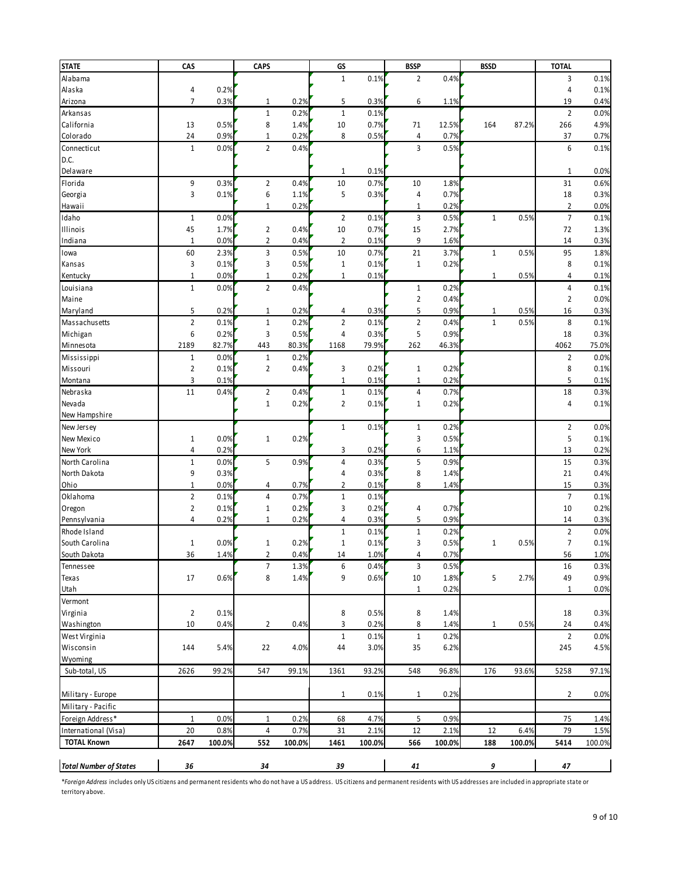| <b>STATE</b>                            | CAS                              |        | <b>CAPS</b>                  |              | GS             |              | <b>BSSP</b>    |              | <b>BSSD</b>  |        | <b>TOTAL</b>                     |              |
|-----------------------------------------|----------------------------------|--------|------------------------------|--------------|----------------|--------------|----------------|--------------|--------------|--------|----------------------------------|--------------|
| Alabama                                 |                                  |        |                              |              | $\mathbf 1$    | 0.1%         | $\overline{2}$ | 0.4%         |              |        | 3                                | 0.1%         |
| Alaska                                  | 4                                | 0.2%   |                              |              |                |              |                |              |              |        | 4                                | 0.1%         |
| Arizona                                 | $\overline{7}$                   | 0.3%   | $\mathbf 1$                  | 0.2%         | 5              | 0.3%         | 6              | 1.1%         |              |        | 19                               | 0.4%         |
| Arkansas                                |                                  |        | $\mathbf 1$                  | 0.2%         | $\mathbf 1$    | 0.1%         |                |              |              |        | $\overline{2}$                   | 0.0%         |
| California                              | 13                               | 0.5%   | 8                            | 1.4%         | 10             | 0.7%         | 71             | 12.5%        | 164          | 87.2%  | 266                              | 4.9%         |
| Colorado                                | 24                               | 0.9%   | $\mathbf 1$                  | 0.2%         | 8              | 0.5%         | 4              | 0.7%         |              |        | 37                               | 0.7%         |
| Connecticut                             | $\mathbf 1$                      | 0.0%   | $\overline{2}$               | 0.4%         |                |              | 3              | 0.5%         |              |        | 6                                | 0.1%         |
| D.C.                                    |                                  |        |                              |              |                |              |                |              |              |        |                                  |              |
| Delaware                                |                                  |        |                              |              | 1              | 0.1%         |                |              |              |        | $\mathbf{1}$                     | 0.0%         |
| Florida                                 | 9                                | 0.3%   | $\overline{2}$               | 0.4%         | 10             | 0.7%         | 10             | 1.8%         |              |        | 31                               | 0.6%         |
| Georgia                                 | 3                                | 0.1%   | 6                            | 1.1%         | 5              | 0.3%         | 4              | 0.7%         |              |        | 18                               | 0.3%         |
| Hawaii                                  |                                  |        | $\mathbf 1$                  | 0.2%         |                |              | 1              | 0.2%         |              |        | $\overline{2}$                   | 0.0%         |
| Idaho                                   | $\mathbf{1}$                     | 0.0%   |                              |              | $\overline{2}$ | 0.1%         | 3              | 0.5%         | $1\,$        | 0.5%   | $\overline{7}$                   | 0.1%         |
| Illinois                                | 45                               | 1.7%   | $\mathbf{2}$                 | 0.4%         | 10             | 0.7%         | 15             | 2.7%         |              |        | 72                               | 1.3%         |
| Indiana                                 | $1\,$                            | 0.0%   | $\mathbf{2}$                 | 0.4%         | $\overline{2}$ | 0.1%         | 9              | 1.6%         |              |        | 14                               | 0.3%         |
| lowa                                    | 60                               | 2.3%   | 3                            | 0.5%         | 10             | 0.7%         | 21             | 3.7%         | $\mathbf 1$  | 0.5%   | 95                               | 1.8%         |
| Kansas                                  | 3                                | 0.1%   | 3                            | 0.5%         | $1\,$          | 0.1%         | $\mathbf{1}$   | 0.2%         |              |        | 8                                | 0.1%         |
| Kentucky                                | $\mathbf 1$                      | 0.0%   | $\mathbf 1$                  | 0.2%         | $\mathbf 1$    | 0.1%         |                |              | $1\,$        | 0.5%   | 4                                | 0.1%         |
| Louisiana                               | $\mathbf 1$                      | 0.0%   | $\overline{2}$               | 0.4%         |                |              | $\mathbf{1}$   | 0.2%         |              |        | 4                                | 0.1%         |
| Maine                                   |                                  |        |                              |              |                |              | $\overline{2}$ | 0.4%         |              |        | 2                                | 0.0%         |
| Maryland                                | 5                                | 0.2%   | 1                            | 0.2%         | 4              | 0.3%         | 5              | 0.9%         | 1            | 0.5%   | 16                               | 0.3%         |
| Massachusetts                           | $\overline{2}$                   | 0.1%   | $\mathbf 1$                  | 0.2%         | $\mathbf{2}$   | 0.1%         | $\overline{2}$ | 0.4%         | $\mathbf 1$  | 0.5%   | 8                                | 0.1%         |
| Michigan                                | 6                                | 0.2%   | 3                            | 0.5%         | 4              | 0.3%         | 5              | 0.9%         |              |        | 18                               | 0.3%         |
| Minnesota                               | 2189                             | 82.7%  | 443                          | 80.3%        | 1168           | 79.9%        | 262            | 46.3%        |              |        | 4062                             | 75.0%        |
| Mississippi                             | $1\,$                            | 0.0%   | $\mathbf 1$                  | 0.2%         |                |              |                |              |              |        | $\overline{2}$                   | 0.0%         |
| Missouri                                | $\overline{2}$                   | 0.1%   | $\overline{2}$               | 0.4%         | 3              | 0.2%         | $1\,$          | 0.2%         |              |        | 8                                | 0.1%         |
| Montana                                 | 3                                | 0.1%   |                              |              | $1\,$          | 0.1%         | $\mathbf 1$    | 0.2%         |              |        | 5                                | 0.1%         |
| Nebraska                                | 11                               | 0.4%   | $\overline{2}$               | 0.4%         | $\mathbf 1$    | 0.1%         | 4              | 0.7%         |              |        | 18                               | 0.3%         |
| Nevada                                  |                                  |        | $\mathbf 1$                  | 0.2%         | $\overline{2}$ | 0.1%         | 1              | 0.2%         |              |        | 4                                | 0.1%         |
| New Hampshire                           |                                  |        |                              |              |                |              |                |              |              |        |                                  |              |
| New Jersey                              |                                  |        |                              |              | $\mathbf{1}$   | 0.1%         | 1              | 0.2%         |              |        | $\overline{2}$                   | 0.0%         |
| New Mexico                              | $\mathbf{1}$                     | 0.0%   | $\mathbf 1$                  | 0.2%         |                |              | 3              | 0.5%         |              |        | 5                                | 0.1%         |
| New York                                | $\overline{4}$                   | 0.2%   |                              |              | 3              | 0.2%         | 6              | 1.1%         |              |        | 13                               | 0.2%         |
| North Carolina                          | $\mathbf 1$                      | 0.0%   | 5                            | 0.9%         | 4              | 0.3%         | 5              | 0.9%         |              |        | 15                               | 0.3%         |
| North Dakota                            | 9                                | 0.3%   |                              |              | 4              | 0.3%         | 8              | 1.4%         |              |        | 21                               | 0.4%         |
| Ohio                                    | $\mathbf 1$                      | 0.0%   | 4                            | 0.7%         | $\overline{2}$ | 0.1%         | 8              | 1.4%         |              |        | 15                               | 0.3%         |
| Oklahoma                                | $\overline{2}$                   | 0.1%   | 4                            | 0.7%         | $1\,$          | 0.1%         |                |              |              |        | $\overline{7}$                   | 0.1%         |
| Oregon                                  | $\overline{2}$<br>$\overline{4}$ | 0.1%   | $\mathbf 1$<br>$\mathbf 1$   | 0.2%         | 3<br>4         | 0.2%         | 4<br>5         | 0.7%<br>0.9% |              |        | 10<br>14                         | 0.2%         |
| Pennsylvania                            |                                  | 0.2%   |                              | 0.2%         |                | 0.3%         |                |              |              |        |                                  | 0.3%         |
| Rhode Island                            |                                  |        |                              |              | $\mathbf{1}$   | 0.1%         | $1\,$          | 0.2%         |              |        | $\overline{2}$<br>$\overline{7}$ | 0.0%         |
| South Carolina<br>South Dakota          | $\mathbf{1}$                     | 0.0%   | $\mathbf 1$                  | 0.2%         | $1\,$          | 0.1%         | 3<br>4         | 0.5%<br>0.7% | $\mathbf{1}$ | 0.5%   |                                  | 0.1%         |
|                                         | 36                               | 1.4%   | $\overline{\mathbf{c}}$<br>7 | 0.4%         | 14<br>6        | 1.0%         | 3              |              |              |        | 56                               | 1.0%<br>0.3% |
| Tennessee                               | 17                               | 0.6%   | 8                            | 1.3%<br>1.4% | 9              | 0.4%<br>0.6% | 10             | 0.5%<br>1.8% | 5            | 2.7%   | 16<br>49                         | 0.9%         |
| Texas<br>Utah                           |                                  |        |                              |              |                |              | $\mathbf{1}$   | 0.2%         |              |        | $\mathbf{1}$                     | 0.0%         |
| Vermont                                 |                                  |        |                              |              |                |              |                |              |              |        |                                  |              |
| Virginia                                | $\overline{2}$                   | 0.1%   |                              |              | 8              | 0.5%         | 8              | 1.4%         |              |        | 18                               | 0.3%         |
| Washington                              | 10                               | 0.4%   | $\overline{2}$               | 0.4%         | 3              | 0.2%         | 8              | 1.4%         | $\mathbf{1}$ | 0.5%   | 24                               | 0.4%         |
| West Virginia                           |                                  |        |                              |              | $\mathbf{1}$   | 0.1%         | $\,1\,$        | 0.2%         |              |        | $\overline{2}$                   | 0.0%         |
| Wisconsin                               | 144                              | 5.4%   | 22                           | 4.0%         | 44             | 3.0%         | 35             | 6.2%         |              |        | 245                              | 4.5%         |
| Wyoming                                 |                                  |        |                              |              |                |              |                |              |              |        |                                  |              |
| Sub-total, US                           | 2626                             | 99.2%  | 547                          | 99.1%        | 1361           | 93.2%        | 548            | 96.8%        | 176          | 93.6%  | 5258                             | 97.1%        |
|                                         |                                  |        |                              |              |                |              |                |              |              |        |                                  |              |
|                                         |                                  |        |                              |              | $1\,$          | 0.1%         | 1              | 0.2%         |              |        | $\overline{2}$                   |              |
| Military - Europe<br>Military - Pacific |                                  |        |                              |              |                |              |                |              |              |        |                                  | 0.0%         |
| Foreign Address*                        | $\mathbf{1}$                     | 0.0%   | $\mathbf 1$                  | 0.2%         | 68             | 4.7%         | 5              | 0.9%         |              |        | 75                               | 1.4%         |
| International (Visa)                    | 20                               | 0.8%   | 4                            | 0.7%         | 31             | 2.1%         | 12             | 2.1%         | 12           | 6.4%   | 79                               | 1.5%         |
| <b>TOTAL Known</b>                      | 2647                             | 100.0% | 552                          | 100.0%       | 1461           | 100.0%       | 566            | 100.0%       | 188          | 100.0% | 5414                             |              |
|                                         |                                  |        |                              |              |                |              |                |              |              |        |                                  | 100.0%       |
| <b>Total Number of States</b>           | 36                               |        | 34                           |              | 39             |              | 41             |              | 9            |        | 47                               |              |
|                                         |                                  |        |                              |              |                |              |                |              |              |        |                                  |              |

\**Foreign Address* includes only US citizens and permanent residents who do not have a US address. US citizens and permanent residents with US addresses are included in appropriate state or territory above.